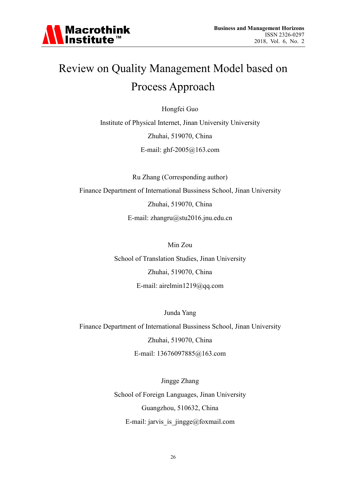

# Review on Quality Management Model based on Process Approach

Hongfei Guo

Institute of Physical Internet, Jinan University University Zhuhai, 519070, China E-mail: ghf-2005@163.com

Ru Zhang (Corresponding author) Finance Department of International Bussiness School, Jinan University Zhuhai, 519070, China E-mail: zhangru@stu2016.jnu.edu.cn

Min Zou

School of Translation Studies, Jinan University Zhuhai, 519070, China E-mail: airelmin1219@qq.com

Junda Yang

Finance Department of International Bussiness School, Jinan University

Zhuhai, 519070, China

E-mail: 13676097885@163.com

Jingge Zhang School of Foreign Languages, Jinan University Guangzhou, 510632, China E-mail: jarvis\_is\_jingge@foxmail.com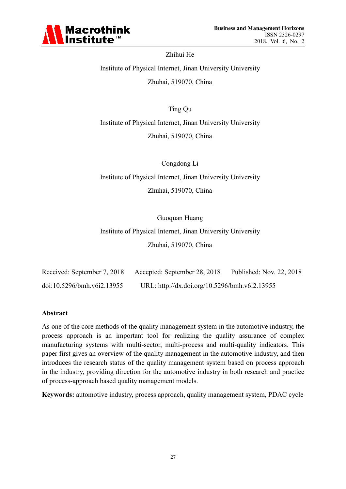

Zhihui He Institute of Physical Internet, Jinan University University Zhuhai, 519070, China

Ting Qu Institute of Physical Internet, Jinan University University Zhuhai, 519070, China

Congdong Li Institute of Physical Internet, Jinan University University Zhuhai, 519070, China

Guoquan Huang

Institute of Physical Internet, Jinan University University Zhuhai, 519070, China

| Received: September 7, 2018 | Accepted: September 28, 2018                  | Published: Nov. 22, 2018 |
|-----------------------------|-----------------------------------------------|--------------------------|
| doi:10.5296/bmh.v6i2.13955  | URL: http://dx.doi.org/10.5296/bmh.v6i2.13955 |                          |

#### **Abstract**

As one of the core methods of the quality management system in the automotive industry, the process approach is an important tool for realizing the quality assurance of complex manufacturing systems with multi-sector, multi-process and multi-quality indicators. This paper first gives an overview of the quality management in the automotive industry, and then introduces the research status of the quality management system based on process approach in the industry, providing direction for the automotive industry in both research and practice of process-approach based quality management models.

**Keywords:** automotive industry, process approach, quality management system, PDAC cycle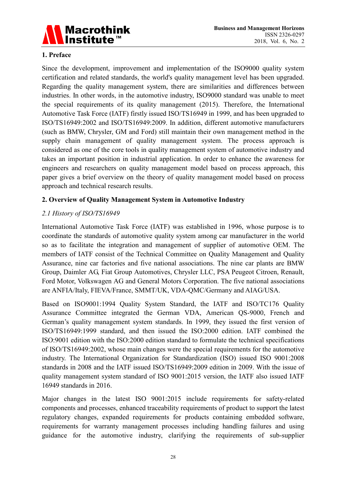

## **1. Preface**

Since the development, improvement and implementation of the ISO9000 quality system certification and related standards, the world's quality management level has been upgraded. Regarding the quality management system, there are similarities and differences between industries. In other words, in the automotive industry, ISO9000 standard was unable to meet the special requirements of its quality management (2015). Therefore, the International Automotive Task Force (IATF) firstly issued ISO/TS16949 in 1999, and has been upgraded to ISO/TS16949:2002 and ISO/TS16949:2009. In addition, different automotive manufacturers (such as BMW, Chrysler, GM and Ford) still maintain their own management method in the supply chain management of quality management system. The process approach is considered as one of the core tools in quality management system of automotive industry and takes an important position in industrial application. In order to enhance the awareness for engineers and researchers on quality management model based on process approach, this paper gives a brief overview on the theory of quality management model based on process approach and technical research results.

### **2. Overview of Quality Management System in Automotive Industry**

## *2.1 History of ISO/TS16949*

International Automotive Task Force (IATF) was established in 1996, whose purpose is to coordinate the standards of automotive quality system among car manufacturer in the world so as to facilitate the integration and management of supplier of automotive OEM. The members of IATF consist of the Technical Committee on Quality Management and Quality Assurance, nine car factories and five national associations. The nine car plants are BMW Group, Daimler AG, Fiat Group Automotives, Chrysler LLC, PSA Peugeot Citroen, Renault, Ford Motor, Volkswagen AG and General Motors Corporation. The five national associations are ANFIA/Italy, FIEVA/France, SMMT/UK, VDA-QMC/Germany and AIAG/USA.

Based on ISO9001:1994 Quality System Standard, the IATF and ISO/TC176 Quality Assurance Committee integrated the German VDA, American QS-9000, French and German's quality management system standards. In 1999, they issued the first version of ISO/TS16949:1999 standard, and then issued the ISO:2000 edition. IATF combined the ISO:9001 edition with the ISO:2000 edition standard to formulate the technical specifications of ISO/TS16949:2002, whose main changes were the special requirements for the automotive industry. The International Organization for Standardization (ISO) issued ISO 9001:2008 standards in 2008 and the IATF issued ISO/TS16949:2009 edition in 2009. With the issue of quality management system standard of ISO 9001:2015 version, the IATF also issued IATF 16949 standards in 2016.

Major changes in the latest ISO 9001:2015 include requirements for safety-related components and processes, enhanced traceability requirements of product to support the latest regulatory changes, expanded requirements for products containing embedded software, requirements for warranty management processes including handling failures and using guidance for the automotive industry, clarifying the requirements of sub-supplier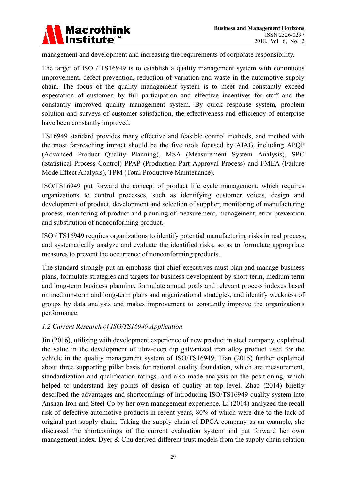

management and development and increasing the requirements of corporate responsibility.

The target of ISO / TS16949 is to establish a quality management system with continuous improvement, defect prevention, reduction of variation and waste in the automotive supply chain. The focus of the quality management system is to meet and constantly exceed expectation of customer, by full participation and effective incentives for staff and the constantly improved quality management system. By quick response system, problem solution and surveys of customer satisfaction, the effectiveness and efficiency of enterprise have been constantly improved.

TS16949 standard provides many effective and feasible control methods, and method with the most far-reaching impact should be the five tools focused by AIAG, including APQP (Advanced Product Quality Planning), MSA (Measurement System Analysis), SPC (Statistical Process Control) PPAP (Production Part Approval Process) and FMEA (Failure Mode Effect Analysis), TPM (Total Productive Maintenance).

ISO/TS16949 put forward the concept of product life cycle management, which requires organizations to control processes, such as identifying customer voices, design and development of product, development and selection of supplier, monitoring of manufacturing process, monitoring of product and planning of measurement, management, error prevention and substitution of nonconforming product.

ISO / TS16949 requires organizations to identify potential manufacturing risks in real process, and systematically analyze and evaluate the identified risks, so as to formulate appropriate measures to prevent the occurrence of nonconforming products.

The standard strongly put an emphasis that chief executives must plan and manage business plans, formulate strategies and targets for business development by short-term, medium-term and long-term business planning, formulate annual goals and relevant process indexes based on medium-term and long-term plans and organizational strategies, and identify weakness of groups by data analysis and makes improvement to constantly improve the organization's performance.

### *1.2 Current Research of ISO/TS16949 Application*

Jin (2016), utilizing with development experience of new product in steel company, explained the value in the development of ultra-deep dip galvanized iron alloy product used for the vehicle in the quality management system of ISO/TS16949; Tian (2015) further explained about three supporting pillar basis for national quality foundation, which are measurement, standardization and qualification ratings, and also made analysis on the positioning, which helped to understand key points of design of quality at top level. Zhao (2014) briefly described the advantages and shortcomings of introducing ISO/TS16949 quality system into Anshan Iron and Steel Co by her own management experience. Li (2014) analyzed the recall risk of defective automotive products in recent years, 80% of which were due to the lack of original-part supply chain. Taking the supply chain of DPCA company as an example, she discussed the shortcomings of the current evaluation system and put forward her own management index. Dyer & Chu derived different trust models from the supply chain relation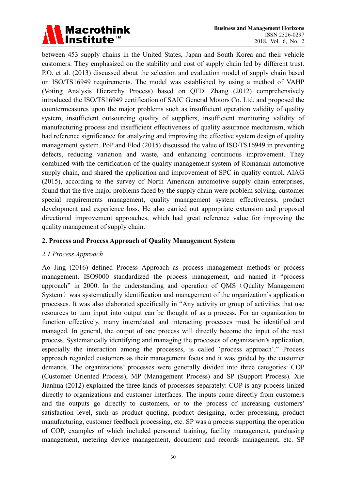

between 453 supply chains in the United States, Japan and South Korea and their vehicle customers. They emphasized on the stability and cost of supply chain led by different trust. P.O. et al. (2013) discussed about the selection and evaluation model of supply chain based on ISO/TS16949 requirements. The model was established by using a method of VAHP (Voting Analysis Hierarchy Process) based on QFD. Zhang (2012) comprehensively introduced the ISO/TS16949 certification of SAIC General Motors Co. Ltd. and proposed the countermeasures upon the major problems such as insufficient operation validity of quality system, insufficient outsourcing quality of suppliers, insufficient monitoring validity of manufacturing process and insufficient effectiveness of quality assurance mechanism, which had reference significance for analyzing and improving the effective system design of quality management system. PoP and Elod (2015) discussed the value of ISO/TS16949 in preventing defects, reducing variation and waste, and enhancing continuous improvement. They combined with the certification of the quality management system of Romanian automotive supply chain, and shared the application and improvement of SPC in quality control. AIAG (2015), according to the survey of North American automotive supply chain enterprises, found that the five major problems faced by the supply chain were problem solving, customer special requirements management, quality management system effectiveness, product development and experience loss. He also carried out appropriate extension and proposed directional improvement approaches, which had great reference value for improving the quality management of supply chain.

#### **2. Process and Process Approach of Quality Management System**

### *2.1 Process Approach*

Ao Jing (2016) defined Process Approach as process management methods or process management. ISO9000 standardized the process management, and named it "process approach" in 2000. In the understanding and operation of QMS (Quality Management System) was systematically identification and management of the organization's application processes. It was also elaborated specifically in "Any activity or group of activities that use resources to turn input into output can be thought of as a process. For an organization to function effectively, many interrelated and interacting processes must be identified and managed. In general, the output of one process will directly become the input of the next process. Systematically identifying and managing the processes of organization's application, especially the interaction among the processes, is called 'process approach'." Process approach regarded customers as their management focus and it was guided by the customer demands. The organizations' processes were generally divided into three categories: COP (Customer Oriented Process), MP (Management Process) and SP (Support Process). Xie Jianhua (2012) explained the three kinds of processes separately: COP is any process linked directly to organizations and customer interfaces. The inputs come directly from customers and the outputs go directly to customers, or to the process of increasing customers' satisfaction level, such as product quoting, product designing, order processing, product manufacturing, customer feedback processing, etc. SP was a process supporting the operation of COP, examples of which included personnel training, facility management, purchasing management, metering device management, document and records management, etc. SP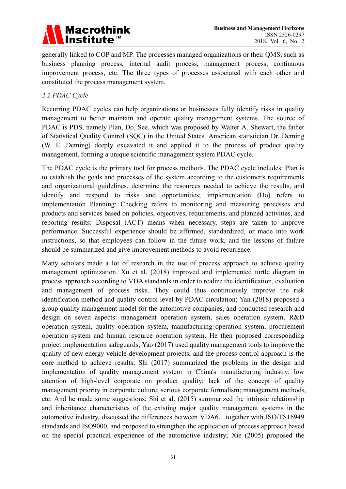

generally linked to COP and MP. The processes managed organizations or their QMS, such as business planning process, internal audit process, management process, continuous improvement process, etc. The three types of processes associated with each other and constituted the process management system.

## *2.2 PDAC Cycle*

Recurring PDAC cycles can help organizations or businesses fully identify risks in quality management to better maintain and operate quality management systems. The source of PDAC is PDS, namely Plan, Do, See, which was proposed by Walter A. Shewart, the father of Statistical Quality Control (SQC) in the United States. American statistician Dr. Deming (W. E. Deming) deeply excavated it and applied it to the process of product quality management, forming a unique scientific management system PDAC cycle.

The PDAC cycle is the primary tool for process methods. The PDAC cycle includes: Plan is to establish the goals and processes of the system according to the customer's requirements and organizational guidelines, determine the resources needed to achieve the results, and identify and respond to risks and opportunities; implementation (Do) refers to implementation Planning: Checking refers to monitoring and measuring processes and products and services based on policies, objectives, requirements, and planned activities, and reporting results: Disposal (ACT) means when necessary, steps are taken to improve performance. Successful experience should be affirmed, standardized, or made into work instructions, so that employees can follow in the future work, and the lessons of failure should be summarized and give improvement methods to avoid recurrence.

Many scholars made a lot of research in the use of process approach to achieve quality management optimization. Xu et al. (2018) improved and implemented turtle diagram in process approach according to VDA standards in order to realize the identification, evaluation and management of process risks. They could thus continuously improve the risk identification method and quality control level by PDAC circulation; Yan (2018) proposed a group quality management model for the automotive companies, and conducted research and design on seven aspects: management operation system, sales operation system, R&D operation system, quality operation system, manufacturing operation system, procurement operation system and human resource operation system. He then proposed corresponding project implementation safeguards; Yao (2017) used quality management tools to improve the quality of new energy vehicle development projects, and the process control approach is the core method to achieve results; Shi (2017) summarized the problems in the design and implementation of quality management system in China's manufacturing industry: low attention of high-level corporate on product quality; lack of the concept of quality management priority in corporate culture; serious corporate formalism; management methods, etc. And he made some suggestions; Shi et al. (2015) summarized the intrinsic relationship and inheritance characteristics of the existing major quality management systems in the automotive industry, discussed the differences between VDA6.1 together with ISO/TS16949 standards and ISO9000, and proposed to strengthen the application of process approach based on the special practical experience of the automotive industry; Xie (2005) proposed the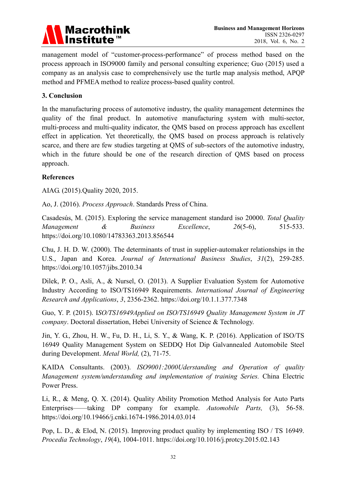

management model of "customer-process-performance" of process method based on the process approach in ISO9000 family and personal consulting experience; Guo (2015) used a company as an analysis case to comprehensively use the turtle map analysis method, APQP method and PFMEA method to realize process-based quality control.

## **3. Conclusion**

In the manufacturing process of automotive industry, the quality management determines the quality of the final product. In automotive manufacturing system with multi-sector, multi-process and multi-quality indicator, the QMS based on process approach has excellent effect in application. Yet theoretically, the QMS based on process approach is relatively scarce, and there are few studies targeting at QMS of sub-sectors of the automotive industry, which in the future should be one of the research direction of QMS based on process approach.

### **References**

AIAG. (2015).Quality 2020, 2015.

Ao, J. (2016). *Process Approach*. Standards Press of China.

Casadesús, M. (2015). Exploring the service management standard iso 20000. *Total Quality Management & Business Excellence*, *26*(5-6), 515-533. https://doi.org/10.1080/14783363.2013.856544

Chu, J. H. D. W. (2000). The determinants of trust in supplier-automaker relationships in the U.S., Japan and Korea. *Journal of International Business Studies*, *31*(2), 259-285. https://doi.org/10.1057/jibs.2010.34

Dilek, P. O., Asli, A., & Nursel, O. (2013). A Supplier Evaluation System for Automotive Industry According to ISO/TS16949 Requirements. *International Journal of Engineering Research and Applications*, *3*, 2356-2362. https://doi.org/10.1.1.377.7348

Guo, Y. P. (2015). I*SO/TS16949Applied on ISO/TS16949 Quality Management System in JT company*. Doctoral dissertation, Hebei University of Science & Technology.

Jin, Y. G., Zhou, H. W., Fu, D. H., Li, S. Y., & Wang, K. P. (2016). Application of ISO/TS 16949 Quality Management System on SEDDQ Hot Dip Galvannealed Automobile Steel during Development. *Metal World,* (2), 71-75.

KAIDA Consultants. (2003). *ISO9001:2000Uderstanding and Operation of quality Management system/understanding and implementation of training Series.* China Electric Power Press.

Li, R., & Meng, Q. X. (2014). Quality Ability Promotion Method Analysis for Auto Parts Enterprises——taking DP company for example. *Automobile Parts,* (3), 56-58. https://doi.org/10.19466/j.cnki.1674-1986.2014.03.014

Pop, L. D., & Elod, N. (2015). Improving product quality by implementing ISO / TS 16949. *Procedia Technology*, *19*(4), 1004-1011. https://doi.org/10.1016/j.protcy.2015.02.143